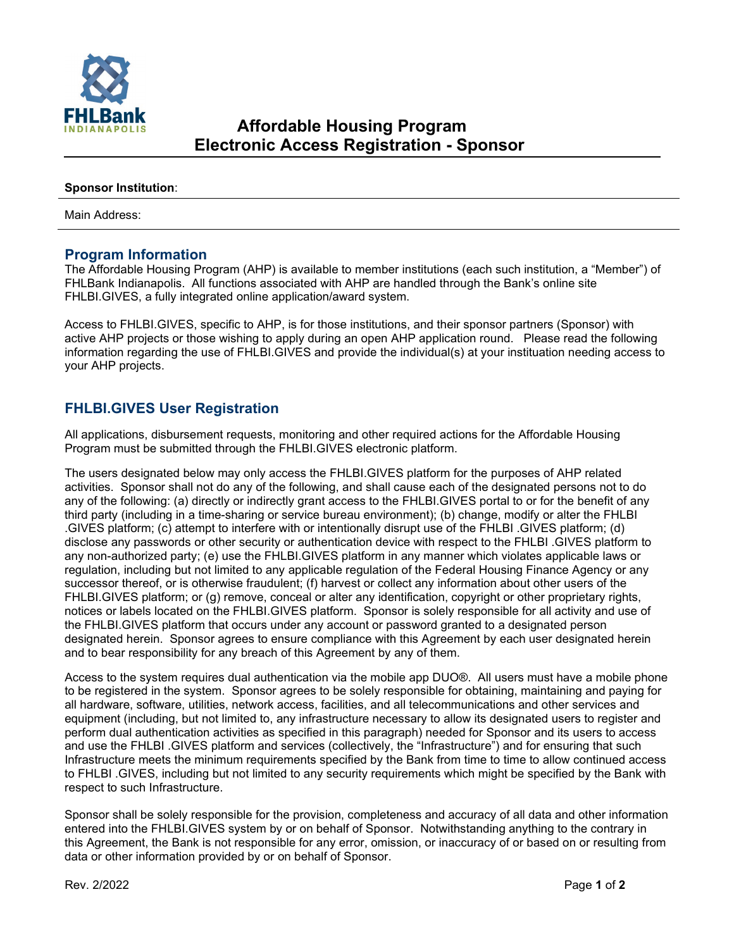

## **Sponsor Institution**:

Main Address:

## **Program Information**

The Affordable Housing Program (AHP) is available to member institutions (each such institution, a "Member") of FHLBank Indianapolis. All functions associated with AHP are handled through the Bank's online site FHLBI.GIVES, a fully integrated online application/award system.

Access to FHLBI.GIVES, specific to AHP, is for those institutions, and their sponsor partners (Sponsor) with active AHP projects or those wishing to apply during an open AHP application round. Please read the following information regarding the use of FHLBI.GIVES and provide the individual(s) at your instituation needing access to your AHP projects.

## **FHLBI.GIVES User Registration**

All applications, disbursement requests, monitoring and other required actions for the Affordable Housing Program must be submitted through the FHLBI.GIVES electronic platform.

The users designated below may only access the FHLBI.GIVES platform for the purposes of AHP related activities. Sponsor shall not do any of the following, and shall cause each of the designated persons not to do any of the following: (a) directly or indirectly grant access to the FHLBI.GIVES portal to or for the benefit of any third party (including in a time-sharing or service bureau environment); (b) change, modify or alter the FHLBI .GIVES platform; (c) attempt to interfere with or intentionally disrupt use of the FHLBI .GIVES platform; (d) disclose any passwords or other security or authentication device with respect to the FHLBI .GIVES platform to any non-authorized party; (e) use the FHLBI.GIVES platform in any manner which violates applicable laws or regulation, including but not limited to any applicable regulation of the Federal Housing Finance Agency or any successor thereof, or is otherwise fraudulent; (f) harvest or collect any information about other users of the FHLBI.GIVES platform; or (g) remove, conceal or alter any identification, copyright or other proprietary rights, notices or labels located on the FHLBI.GIVES platform. Sponsor is solely responsible for all activity and use of the FHLBI.GIVES platform that occurs under any account or password granted to a designated person designated herein. Sponsor agrees to ensure compliance with this Agreement by each user designated herein and to bear responsibility for any breach of this Agreement by any of them.

Access to the system requires dual authentication via the mobile app DUO®. All users must have a mobile phone to be registered in the system. Sponsor agrees to be solely responsible for obtaining, maintaining and paying for all hardware, software, utilities, network access, facilities, and all telecommunications and other services and equipment (including, but not limited to, any infrastructure necessary to allow its designated users to register and perform dual authentication activities as specified in this paragraph) needed for Sponsor and its users to access and use the FHLBI .GIVES platform and services (collectively, the "Infrastructure") and for ensuring that such Infrastructure meets the minimum requirements specified by the Bank from time to time to allow continued access to FHLBI .GIVES, including but not limited to any security requirements which might be specified by the Bank with respect to such Infrastructure.

Sponsor shall be solely responsible for the provision, completeness and accuracy of all data and other information entered into the FHLBI.GIVES system by or on behalf of Sponsor. Notwithstanding anything to the contrary in this Agreement, the Bank is not responsible for any error, omission, or inaccuracy of or based on or resulting from data or other information provided by or on behalf of Sponsor.